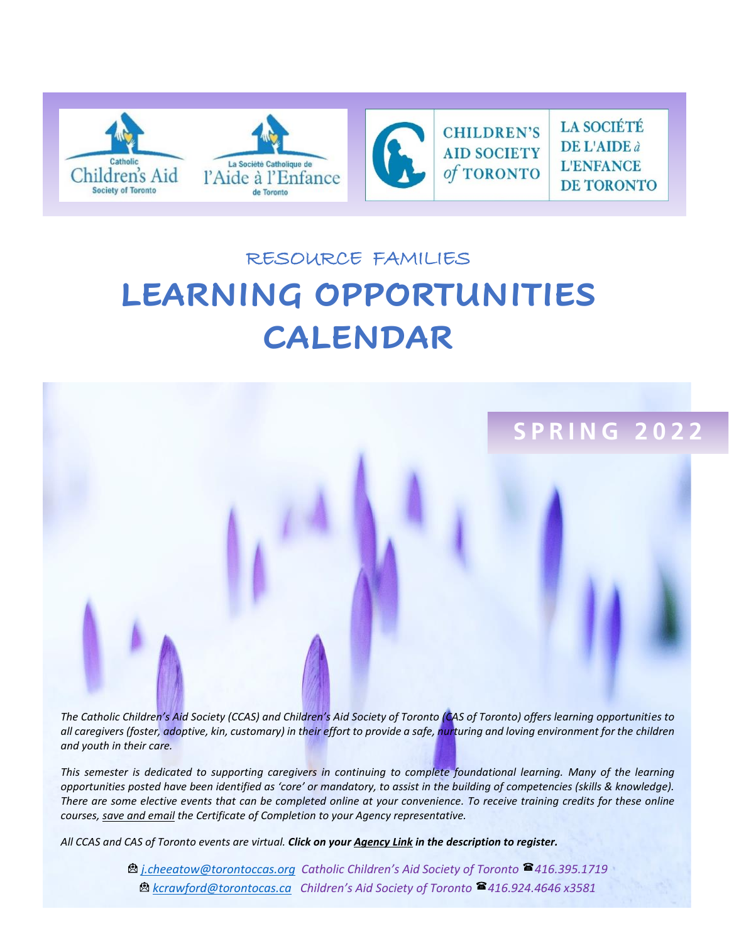

# RESOURCE FAMILIES **LEARNING OPPORTUNITIES CALENDAR**



*The Catholic Children's Aid Society (CCAS) and Children's Aid Society of Toronto (CAS of Toronto) offers learning opportunities to all caregivers (foster, adoptive, kin, customary) in their effort to provide a safe, nurturing and loving environment for the children and youth in their care.* 

*This semester is dedicated to supporting caregivers in continuing to complete foundational learning. Many of the learning opportunities posted have been identified as 'core' or mandatory, to assist in the building of competencies (skills & knowledge). There are some elective events that can be completed online at your convenience. To receive training credits for these online courses, save and email the Certificate of Completion to your Agency representative.*

*All CCAS and CAS of Toronto events are virtual. Click on your Agency Link in the description to register.* 

*[j.cheeatow@torontoccas.org](mailto:j.cheeatow@torontoccas.org) Catholic Children's Aid Society of Toronto 416.395.1719 [kcrawford@torontocas.ca](mailto:kcrawford@torontocas.ca) Children's Aid Society of Toronto 416.924.4646 x3581*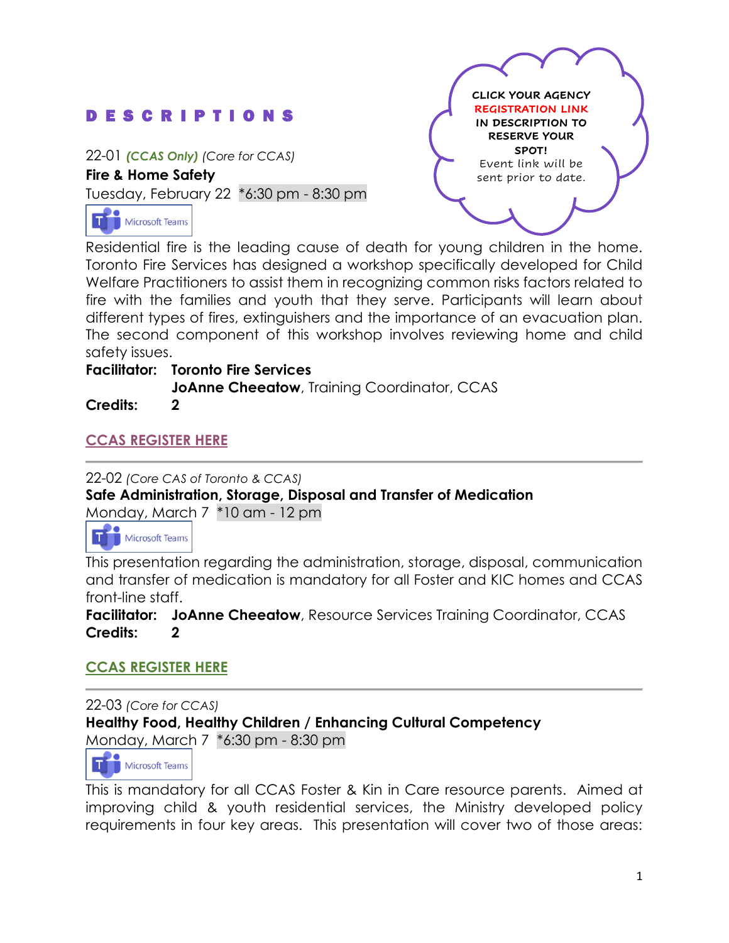# D E S C R I P T I O N S

22-01 *(CCAS Only) (Core for CCAS)*

**Fire & Home Safety** 

Tuesday, February 22 \*6:30 pm - 8:30 pm



**CLICK YOUR AGENCY REGISTRATION LINK IN DESCRIPTION TO RESERVE YOUR SPOT!** Event link will be sent prior to date.

Residential fire is the leading cause of death for young children in the home. Toronto Fire Services has designed a workshop specifically developed for Child Welfare Practitioners to assist them in recognizing common risks factors related to fire with the families and youth that they serve. Participants will learn about different types of fires, extinguishers and the importance of an evacuation plan. The second component of this workshop involves reviewing home and child safety issues.

#### **Facilitator: Toronto Fire Services**

**JoAnne Cheeatow**, Training Coordinator, CCAS

**Credits: 2**

## **[CCAS REGISTER HERE](https://forms.office.com/r/GWcmKvTkyr)**

22-02 *(Core CAS of Toronto & CCAS)* **Safe Administration, Storage, Disposal and Transfer of Medication** Monday, March 7 \*10 am - 12 pm

Microsoft Teams

This presentation regarding the administration, storage, disposal, communication and transfer of medication is mandatory for all Foster and KIC homes and CCAS front-line staff.

**Facilitator: JoAnne Cheeatow**, Resource Services Training Coordinator, CCAS **Credits: 2**

## **[CCAS REGISTER HERE](https://forms.office.com/r/MwzFjGhE5z)**

22-03 *(Core for CCAS)* **Healthy Food, Healthy Children / Enhancing Cultural Competency** Monday, March 7 \*6:30 pm - 8:30 pm

Microsoft Teams ΙT

This is mandatory for all CCAS Foster & Kin in Care resource parents. Aimed at improving child & youth residential services, the Ministry developed policy requirements in four key areas. This presentation will cover two of those areas: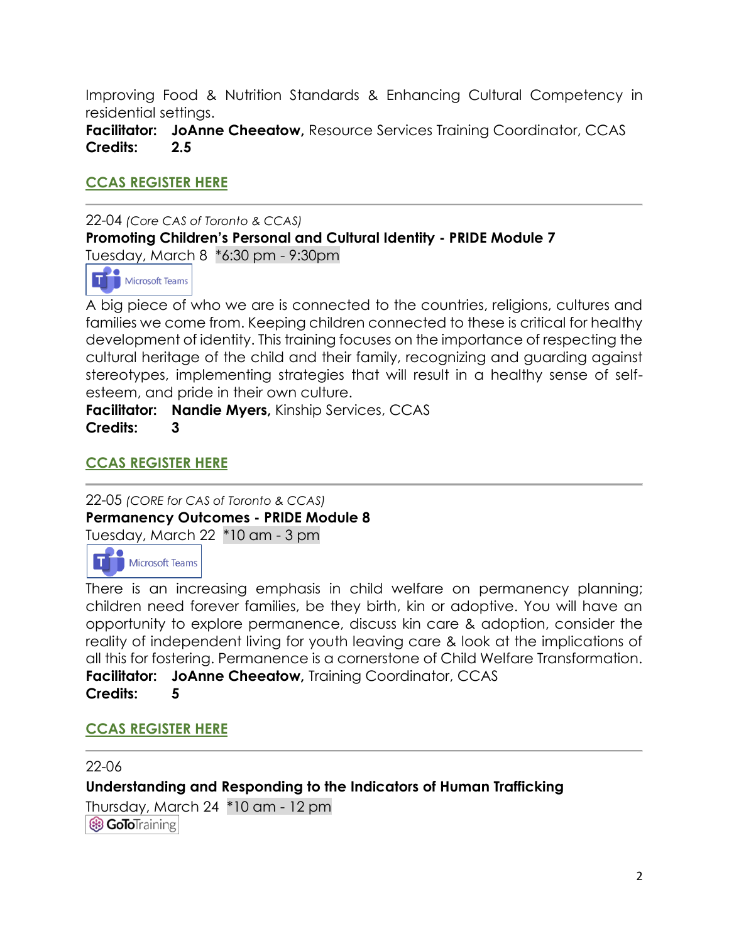Improving Food & Nutrition Standards & Enhancing Cultural Competency in residential settings.

**Facilitator: JoAnne Cheeatow,** Resource Services Training Coordinator, CCAS **Credits: 2.5**

## **[CCAS REGISTER HERE](https://forms.office.com/r/BkbrNCzNzN)**

22-04 *(Core CAS of Toronto & CCAS)* **Promoting Children's Personal and Cultural Identity - PRIDE Module 7** Tuesday, March 8 \*6:30 pm - 9:30pm



A big piece of who we are is connected to the countries, religions, cultures and families we come from. Keeping children connected to these is critical for healthy development of identity. This training focuses on the importance of respecting the cultural heritage of the child and their family, recognizing and guarding against stereotypes, implementing strategies that will result in a healthy sense of selfesteem, and pride in their own culture.

**Facilitator: Nandie Myers,** Kinship Services, CCAS **Credits: 3**

## **[CCAS REGISTER HERE](https://forms.office.com/r/Dq95zgKrss)**

22-05 *(CORE for CAS of Toronto & CCAS)* **Permanency Outcomes - PRIDE Module 8** Tuesday, March 22 \*10 am - 3 pm



There is an increasing emphasis in child welfare on permanency planning; children need forever families, be they birth, kin or adoptive. You will have an opportunity to explore permanence, discuss kin care & adoption, consider the reality of independent living for youth leaving care & look at the implications of all this for fostering. Permanence is a cornerstone of Child Welfare Transformation. **Facilitator: JoAnne Cheeatow,** Training Coordinator, CCAS **Credits: 5**

## **[CCAS REGISTER HERE](https://forms.office.com/r/1EXuFXrgg7)**

22-06 **Understanding and Responding to the Indicators of Human Trafficking**  Thursday, March 24 \*10 am - 12 pm**B GoToTraining**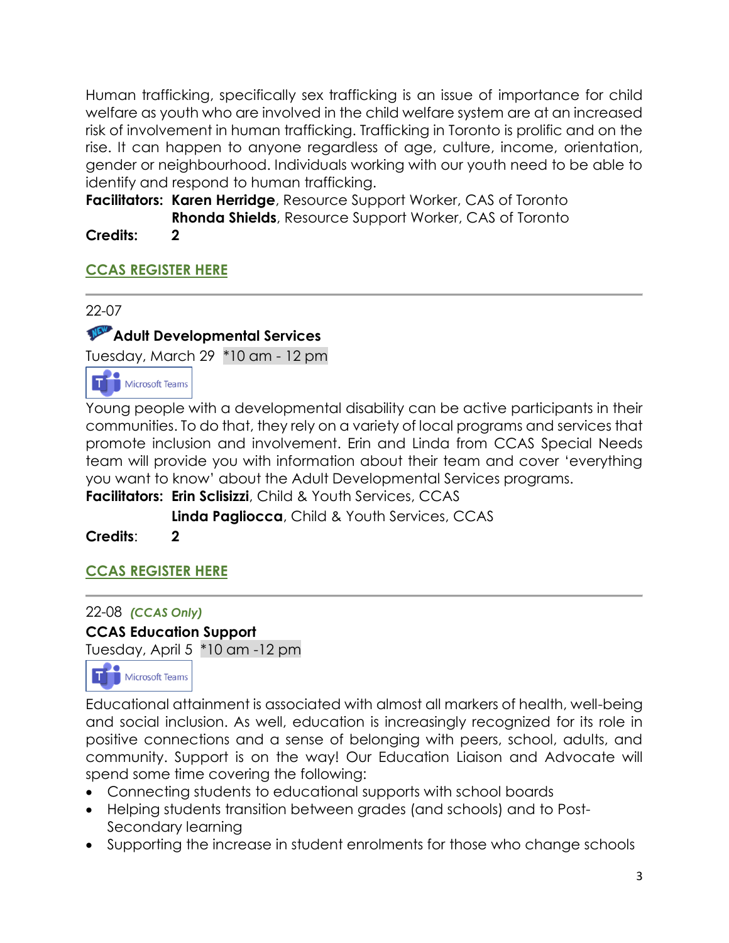Human trafficking, specifically sex trafficking is an issue of importance for child welfare as youth who are involved in the child welfare system are at an increased risk of involvement in human trafficking. Trafficking in Toronto is prolific and on the rise. It can happen to anyone regardless of age, culture, income, orientation, gender or neighbourhood. Individuals working with our youth need to be able to identify and respond to human trafficking.

**Facilitators: Karen Herridge**, Resource Support Worker, CAS of Toronto **Rhonda Shields**, Resource Support Worker, CAS of Toronto

**Credits: 2**

# **[CCAS REGISTER HERE](https://forms.office.com/r/QZy8PZHvhS)**

22-07

# **Adult Developmental Services**

Tuesday, March 29 \*10 am - 12 pm



Young people with a developmental disability can be active participants in their communities. To do that, they rely on a variety of local programs and services that promote inclusion and involvement. Erin and Linda from CCAS Special Needs team will provide you with information about their team and cover 'everything you want to know' about the Adult Developmental Services programs.

**Facilitators: Erin Sclisizzi**, Child & Youth Services, CCAS

**Linda Pagliocca**, Child & Youth Services, CCAS

**Credits**: **2**

# **[CCAS REGISTER HERE](https://forms.office.com/r/rUzNc2gHFV)**

# 22-08 *(CCAS Only)*

#### **CCAS Education Support**

Tuesday, April 5 \*10 am -12 pm



Educational attainment is associated with almost all markers of health, well-being and social inclusion. As well, education is increasingly recognized for its role in positive connections and a sense of belonging with peers, school, adults, and community. Support is on the way! Our Education Liaison and Advocate will spend some time covering the following:

- Connecting students to educational supports with school boards
- Helping students transition between grades (and schools) and to Post-Secondary learning
- Supporting the increase in student enrolments for those who change schools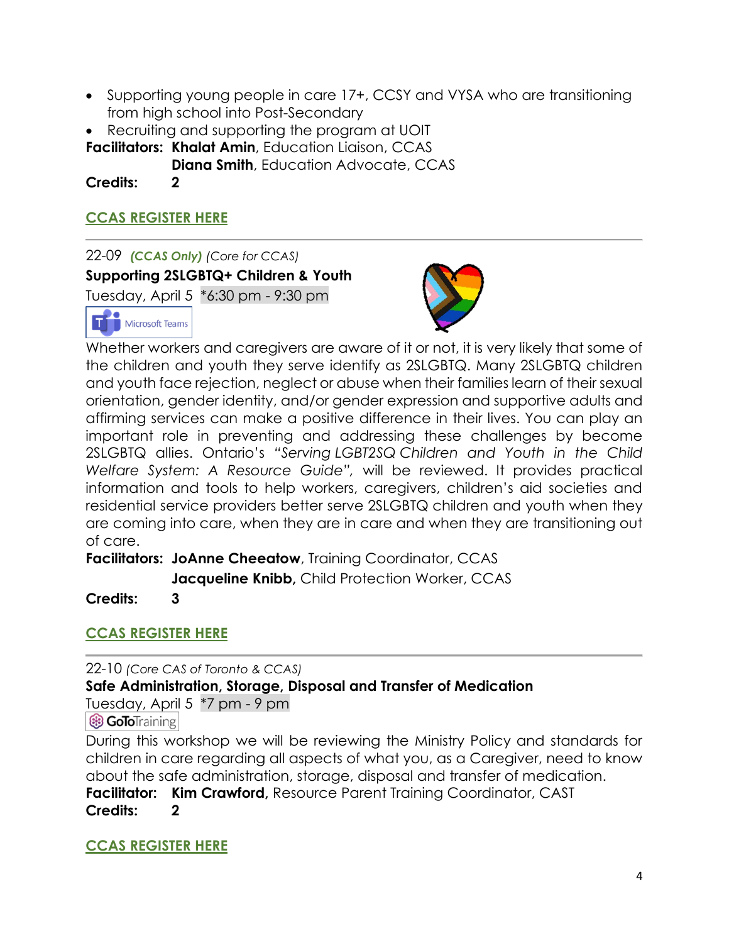- Supporting young people in care 17+, CCSY and VYSA who are transitioning from high school into Post-Secondary
- Recruiting and supporting the program at UOIT

**Facilitators: Khalat Amin**, Education Liaison, CCAS

**Diana Smith**, Education Advocate, CCAS

**Credits: 2**

## **[CCAS REGISTER HERE](https://forms.office.com/r/3wS32QWVPf)**

22-09 *(CCAS Only) (Core for CCAS)* **Supporting 2SLGBTQ+ Children & Youth** Tuesday, April 5 \*6:30 pm - 9:30 pm Microsoft Teams



Whether workers and caregivers are aware of it or not, it is very likely that some of the children and youth they serve identify as 2SLGBTQ. Many 2SLGBTQ children and youth face rejection, neglect or abuse when their families learn of their sexual orientation, gender identity, and/or gender expression and supportive adults and affirming services can make a positive difference in their lives. You can play an important role in preventing and addressing these challenges by become 2SLGBTQ allies. Ontario's *"Serving LGBT2SQ Children and Youth in the Child Welfare System: A Resource Guide",* will be reviewed. It provides practical information and tools to help workers, caregivers, children's aid societies and residential service providers better serve 2SLGBTQ children and youth when they are coming into care, when they are in care and when they are transitioning out of care.

**Facilitators: JoAnne Cheeatow**, Training Coordinator, CCAS **Jacqueline Knibb,** Child Protection Worker, CCAS

**Credits: 3**

# **[CCAS REGISTER HERE](https://forms.office.com/r/vnV13dpdRJ)**

22-10 *(Core CAS of Toronto & CCAS)*

## **Safe Administration, Storage, Disposal and Transfer of Medication**

Tuesday, April 5 \*7 pm - 9 pm **B GoTo**Training

During this workshop we will be reviewing the Ministry Policy and standards for children in care regarding all aspects of what you, as a Caregiver, need to know about the safe administration, storage, disposal and transfer of medication. **Facilitator: Kim Crawford,** Resource Parent Training Coordinator, CAST **Credits: 2**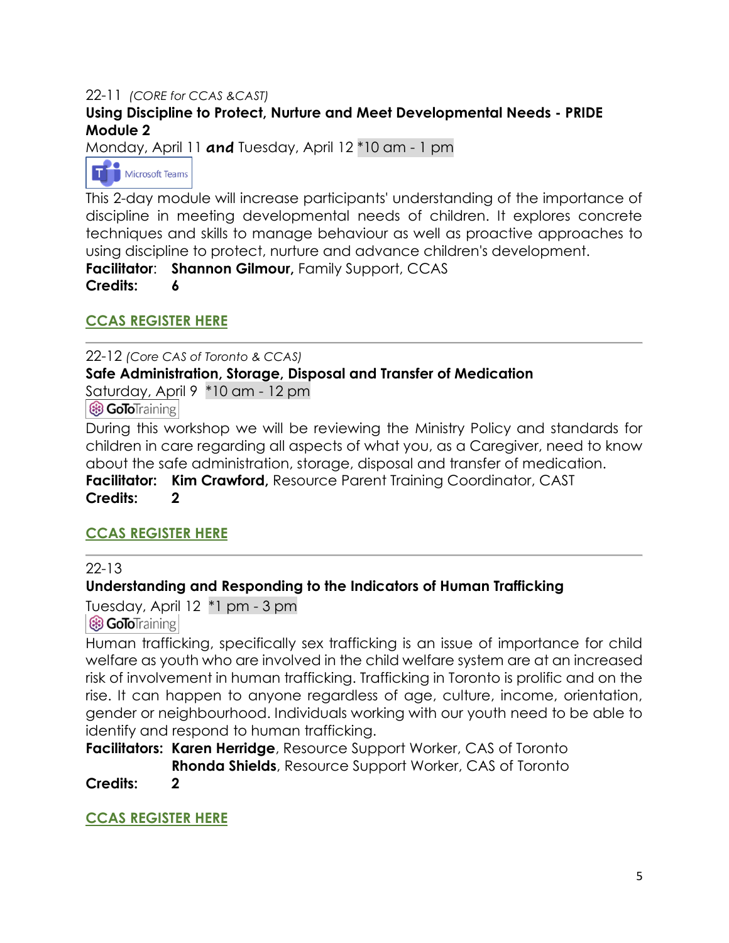#### 22-11 *(CORE for CCAS &CAST)* **Using Discipline to Protect, Nurture and Meet Developmental Needs - PRIDE Module 2**

Monday, April 11 **and** Tuesday, April 12 \*10 am - 1 pm



This 2-day module will increase participants' understanding of the importance of discipline in meeting developmental needs of children. It explores concrete techniques and skills to manage behaviour as well as proactive approaches to using discipline to protect, nurture and advance children's development. **Facilitator**: **Shannon Gilmour,** Family Support, CCAS

**Credits: 6**

## **[CCAS REGISTER HERE](https://forms.office.com/r/h6u25Lsncq)**

#### 22-12 *(Core CAS of Toronto & CCAS)* **Safe Administration, Storage, Disposal and Transfer of Medication** Saturday, April 9 \*10 am - 12 pm

**B GoTo**Training

During this workshop we will be reviewing the Ministry Policy and standards for children in care regarding all aspects of what you, as a Caregiver, need to know about the safe administration, storage, disposal and transfer of medication. **Facilitator: Kim Crawford,** Resource Parent Training Coordinator, CAST **Credits: 2**

## **[CCAS REGISTER HERE](https://forms.office.com/r/H5dsFVxkqM)**

22-13

## **Understanding and Responding to the Indicators of Human Trafficking**

Tuesday, April 12 \*1 pm - 3 pm

**& GoTo**Training

Human trafficking, specifically sex trafficking is an issue of importance for child welfare as youth who are involved in the child welfare system are at an increased risk of involvement in human trafficking. Trafficking in Toronto is prolific and on the rise. It can happen to anyone regardless of age, culture, income, orientation, gender or neighbourhood. Individuals working with our youth need to be able to identify and respond to human trafficking.

**Facilitators: Karen Herridge**, Resource Support Worker, CAS of Toronto **Rhonda Shields**, Resource Support Worker, CAS of Toronto

**Credits: 2**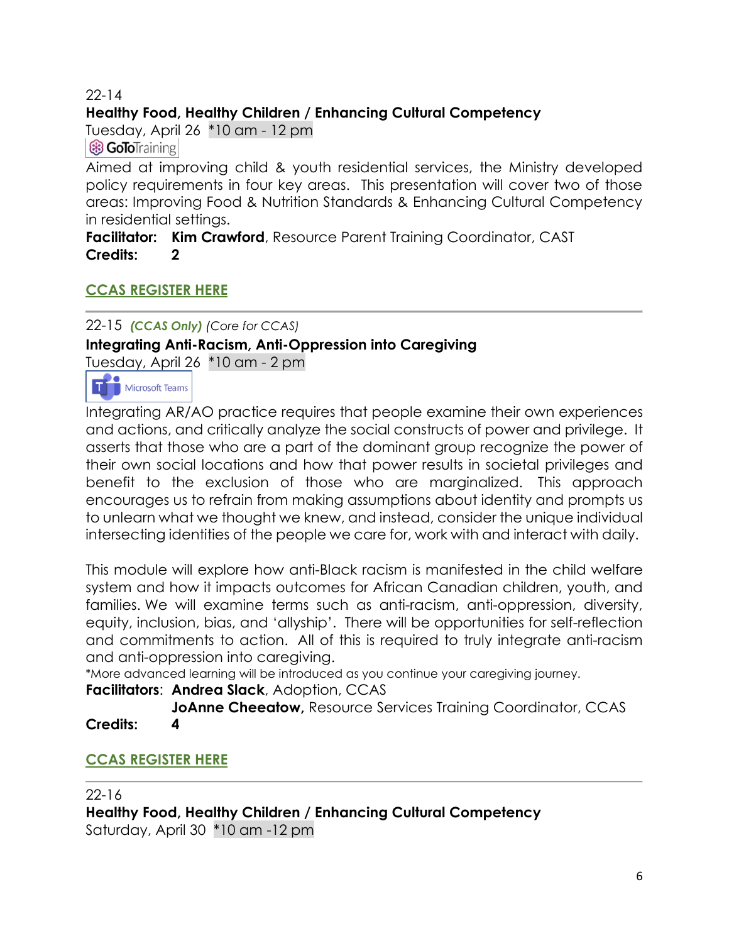#### 22-14

## **Healthy Food, Healthy Children / Enhancing Cultural Competency**

Tuesday, April 26 \*10 am - 12 pm

**& GoToTraining** 

Aimed at improving child & youth residential services, the Ministry developed policy requirements in four key areas. This presentation will cover two of those areas: Improving Food & Nutrition Standards & Enhancing Cultural Competency in residential settings.

**Facilitator: Kim Crawford**, Resource Parent Training Coordinator, CAST **Credits: 2**

## **[CCAS REGISTER HERE](https://forms.office.com/r/zvStRUVdpn)**

# 22-15 *(CCAS Only) (Core for CCAS)* **Integrating Anti-Racism, Anti-Oppression into Caregiving**

Tuesday, April 26 \*10 am - 2 pm



Integrating AR/AO practice requires that people examine their own experiences and actions, and critically analyze the social constructs of power and privilege. It asserts that those who are a part of the dominant group recognize the power of their own social locations and how that power results in societal privileges and benefit to the exclusion of those who are marginalized. This approach encourages us to refrain from making assumptions about identity and prompts us to unlearn what we thought we knew, and instead, consider the unique individual intersecting identities of the people we care for, work with and interact with daily.

This module will explore how anti-Black racism is manifested in the child welfare system and how it impacts outcomes for African Canadian children, youth, and families. We will examine terms such as anti-racism, anti-oppression, diversity, equity, inclusion, bias, and 'allyship'. There will be opportunities for self-reflection and commitments to action. All of this is required to truly integrate anti-racism and anti-oppression into caregiving.

\*More advanced learning will be introduced as you continue your caregiving journey.

#### **Facilitators**: **Andrea Slack**, Adoption, CCAS

**JoAnne Cheeatow, Resource Services Training Coordinator, CCAS Credits: 4**

## **[CCAS REGISTER HERE](https://forms.office.com/r/afM1yKA3QH)**

22-16

**Healthy Food, Healthy Children / Enhancing Cultural Competency** Saturday, April 30 \*10 am -12 pm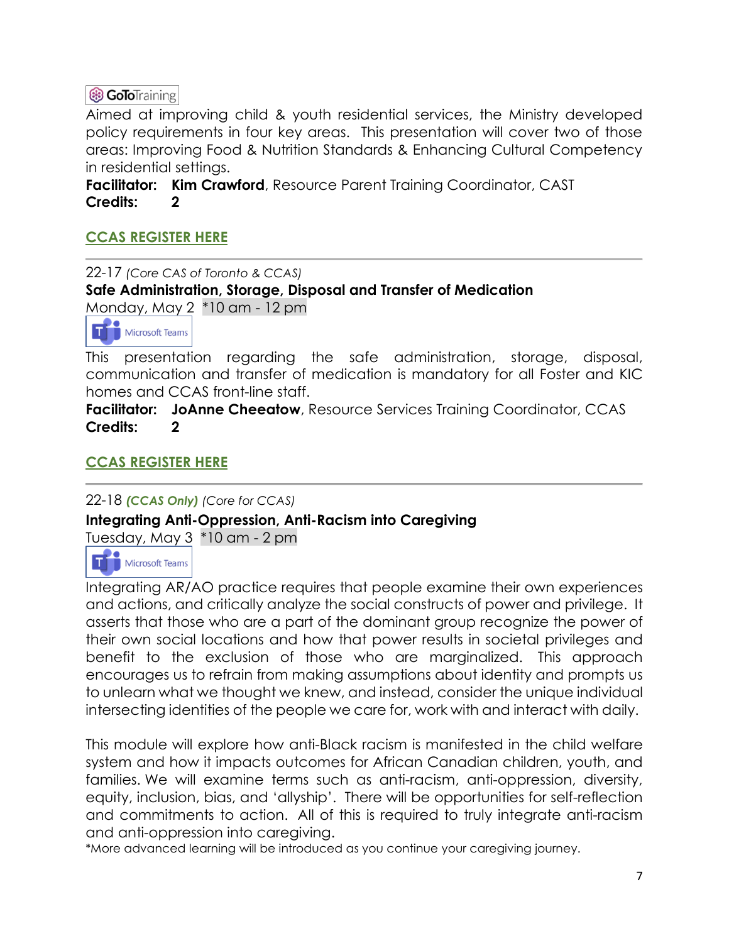# **B GoToTraining**

Aimed at improving child & youth residential services, the Ministry developed policy requirements in four key areas. This presentation will cover two of those areas: Improving Food & Nutrition Standards & Enhancing Cultural Competency in residential settings.

**Facilitator: Kim Crawford**, Resource Parent Training Coordinator, CAST **Credits: 2**

## **[CCAS REGISTER HERE](https://forms.office.com/r/y5uzjtv1pp)**

22-17 *(Core CAS of Toronto & CCAS)* **Safe Administration, Storage, Disposal and Transfer of Medication** Monday, May 2 \*10 am - 12 pm



This presentation regarding the safe administration, storage, disposal, communication and transfer of medication is mandatory for all Foster and KIC homes and CCAS front-line staff.

**Facilitator: JoAnne Cheeatow**, Resource Services Training Coordinator, CCAS **Credits: 2**

## **[CCAS REGISTER HERE](https://forms.office.com/r/Fpg694wwSZ)**

22-18 *(CCAS Only) (Core for CCAS)*

**Integrating Anti-Oppression, Anti-Racism into Caregiving**

Tuesday, May 3 \*10 am - 2 pm



Integrating AR/AO practice requires that people examine their own experiences and actions, and critically analyze the social constructs of power and privilege. It asserts that those who are a part of the dominant group recognize the power of their own social locations and how that power results in societal privileges and benefit to the exclusion of those who are marginalized. This approach encourages us to refrain from making assumptions about identity and prompts us to unlearn what we thought we knew, and instead, consider the unique individual intersecting identities of the people we care for, work with and interact with daily.

This module will explore how anti-Black racism is manifested in the child welfare system and how it impacts outcomes for African Canadian children, youth, and families. We will examine terms such as anti-racism, anti-oppression, diversity, equity, inclusion, bias, and 'allyship'. There will be opportunities for self-reflection and commitments to action. All of this is required to truly integrate anti-racism and anti-oppression into caregiving.

\*More advanced learning will be introduced as you continue your caregiving journey.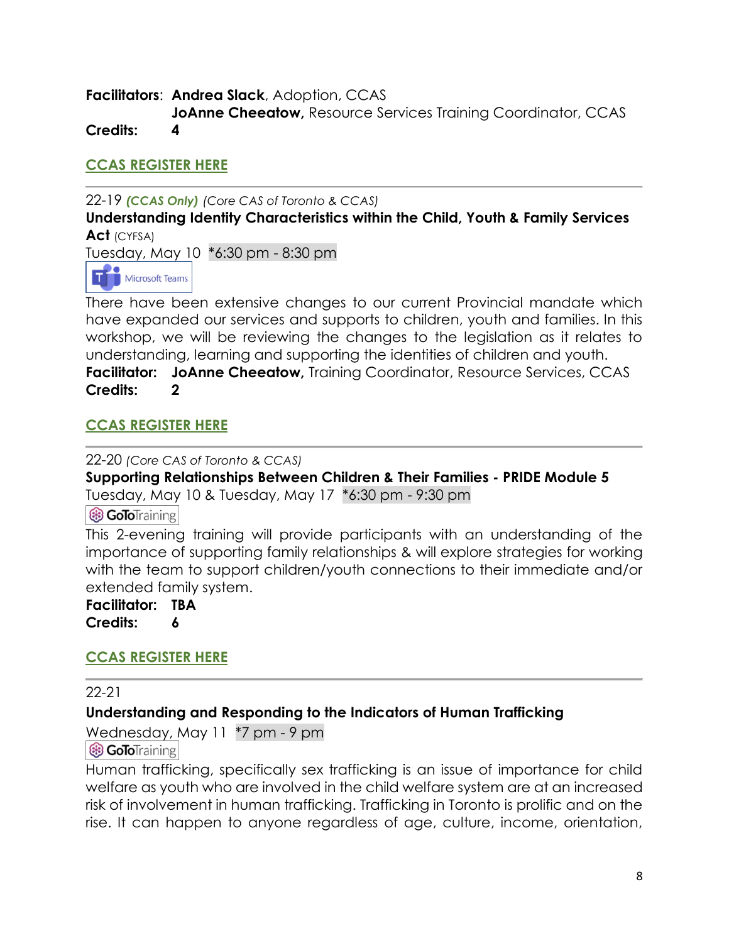**Facilitators**: **Andrea Slack**, Adoption, CCAS **JoAnne Cheeatow, Resource Services Training Coordinator, CCAS Credits: 4**

**[CCAS REGISTER HERE](https://forms.office.com/r/x3yXw2sJYY)**

22-19 *(CCAS Only) (Core CAS of Toronto & CCAS)*

**Understanding Identity Characteristics within the Child, Youth & Family Services Act** (CYFSA)

Tuesday, May 10 \*6:30 pm - 8:30 pm



There have been extensive changes to our current Provincial mandate which have expanded our services and supports to children, youth and families. In this workshop, we will be reviewing the changes to the legislation as it relates to understanding, learning and supporting the identities of children and youth. **Facilitator: JoAnne Cheeatow,** Training Coordinator, Resource Services, CCAS **Credits: 2**

# **[CCAS REGISTER HERE](https://forms.office.com/r/N7NgmaYuVc)**

22-20 *(Core CAS of Toronto & CCAS)*

**Supporting Relationships Between Children & Their Families - PRIDE Module 5** Tuesday, May 10 & Tuesday, May 17 \*6:30 pm - 9:30 pm

**B GoTo**Training

This 2-evening training will provide participants with an understanding of the importance of supporting family relationships & will explore strategies for working with the team to support children/youth connections to their immediate and/or extended family system.

**Facilitator: TBA Credits: 6**

## **[CCAS REGISTER HERE](https://forms.office.com/r/ryYRDdDSnF)**

22-21

## **Understanding and Responding to the Indicators of Human Trafficking**

Wednesday, May 11 \*7 pm - 9 pm

8 GoToTraining

Human trafficking, specifically sex trafficking is an issue of importance for child welfare as youth who are involved in the child welfare system are at an increased risk of involvement in human trafficking. Trafficking in Toronto is prolific and on the rise. It can happen to anyone regardless of age, culture, income, orientation,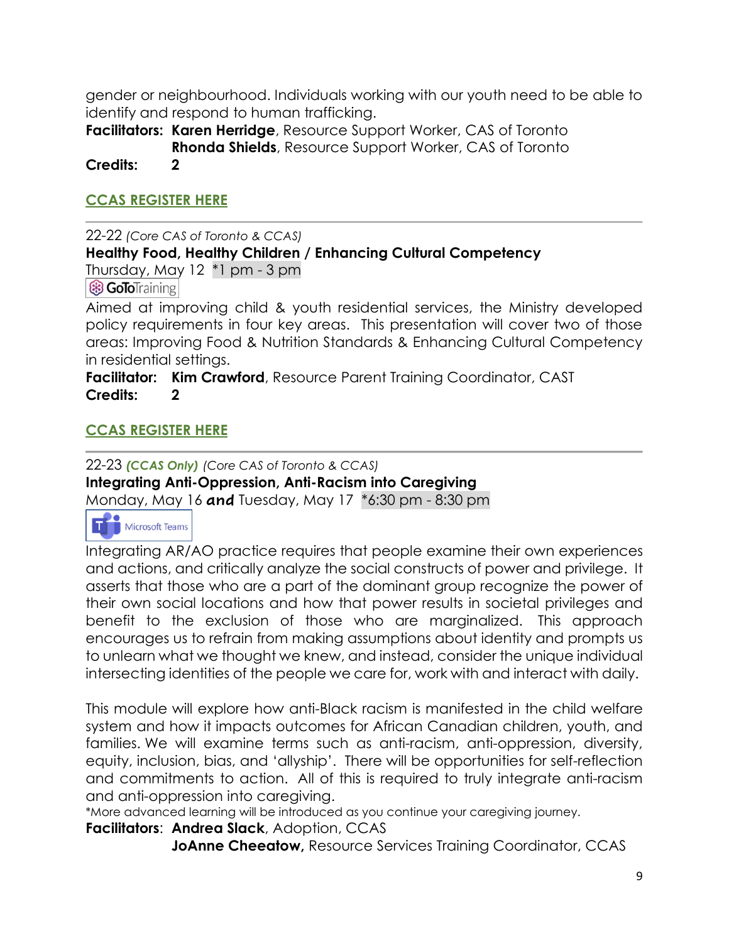gender or neighbourhood. Individuals working with our youth need to be able to identify and respond to human trafficking.

**Facilitators: Karen Herridge**, Resource Support Worker, CAS of Toronto **Rhonda Shields**, Resource Support Worker, CAS of Toronto

**Credits: 2**

## **[CCAS REGISTER HERE](https://forms.office.com/r/hgTbd0SM0a)**

22-22 *(Core CAS of Toronto & CCAS)*

## **Healthy Food, Healthy Children / Enhancing Cultural Competency**

Thursday, May 12 \*1 pm - 3 pm

**& GoToTraining** 

Aimed at improving child & youth residential services, the Ministry developed policy requirements in four key areas. This presentation will cover two of those areas: Improving Food & Nutrition Standards & Enhancing Cultural Competency in residential settings.

**Facilitator: Kim Crawford**, Resource Parent Training Coordinator, CAST **Credits: 2**

## **[CCAS REGISTER HERE](https://forms.office.com/r/Y4dfDNTzQy)**

22-23 *(CCAS Only) (Core CAS of Toronto & CCAS)* **Integrating Anti-Oppression, Anti-Racism into Caregiving** Monday, May 16 **and** Tuesday, May 17 \*6:30 pm - 8:30 pm



Integrating AR/AO practice requires that people examine their own experiences and actions, and critically analyze the social constructs of power and privilege. It asserts that those who are a part of the dominant group recognize the power of their own social locations and how that power results in societal privileges and benefit to the exclusion of those who are marginalized. This approach encourages us to refrain from making assumptions about identity and prompts us to unlearn what we thought we knew, and instead, consider the unique individual intersecting identities of the people we care for, work with and interact with daily.

This module will explore how anti-Black racism is manifested in the child welfare system and how it impacts outcomes for African Canadian children, youth, and families. We will examine terms such as anti-racism, anti-oppression, diversity, equity, inclusion, bias, and 'allyship'. There will be opportunities for self-reflection and commitments to action. All of this is required to truly integrate anti-racism and anti-oppression into caregiving.

\*More advanced learning will be introduced as you continue your caregiving journey.

**Facilitators**: **Andrea Slack**, Adoption, CCAS

**JoAnne Cheeatow, Resource Services Training Coordinator, CCAS**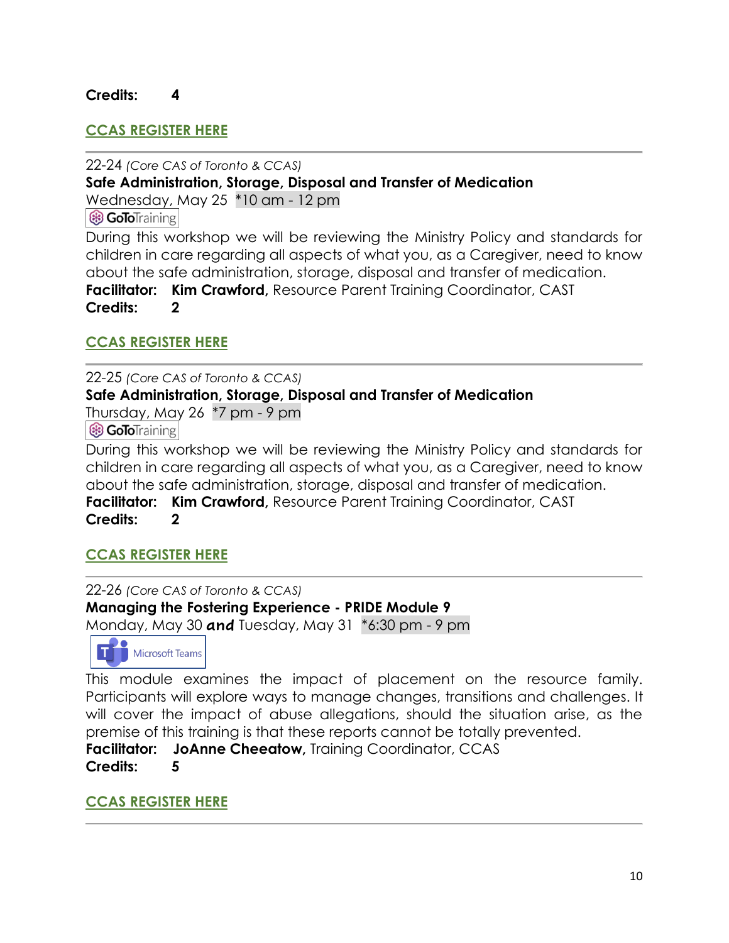#### **Credits: 4**

#### **[CCAS REGISTER HERE](https://forms.office.com/r/4yhMzPuUKc)**

22-24 *(Core CAS of Toronto & CCAS)* **Safe Administration, Storage, Disposal and Transfer of Medication** Wednesday, May 25 \*10 am - 12 pm

**B GoTo**Training

During this workshop we will be reviewing the Ministry Policy and standards for children in care regarding all aspects of what you, as a Caregiver, need to know about the safe administration, storage, disposal and transfer of medication. **Facilitator: Kim Crawford,** Resource Parent Training Coordinator, CAST **Credits: 2**

#### **[CCAS REGISTER HERE](https://forms.office.com/r/NYGB2aEA5S)**

22-25 *(Core CAS of Toronto & CCAS)*

**Safe Administration, Storage, Disposal and Transfer of Medication**

Thursday, May 26 \*7 pm - 9 pm

**& GoTo**Training

During this workshop we will be reviewing the Ministry Policy and standards for children in care regarding all aspects of what you, as a Caregiver, need to know about the safe administration, storage, disposal and transfer of medication. **Facilitator: Kim Crawford,** Resource Parent Training Coordinator, CAST **Credits: 2**

#### **[CCAS REGISTER HERE](https://forms.office.com/r/yg6B3FSeVB)**

22-26 *(Core CAS of Toronto & CCAS)* **Managing the Fostering Experience - PRIDE Module 9** Monday, May 30 **and** Tuesday, May 31 \*6:30 pm - 9 pm



This module examines the impact of placement on the resource family. Participants will explore ways to manage changes, transitions and challenges. It will cover the impact of abuse allegations, should the situation arise, as the premise of this training is that these reports cannot be totally prevented.

**Facilitator:** JoAnne Cheeatow, Training Coordinator, CCAS **Credits: 5**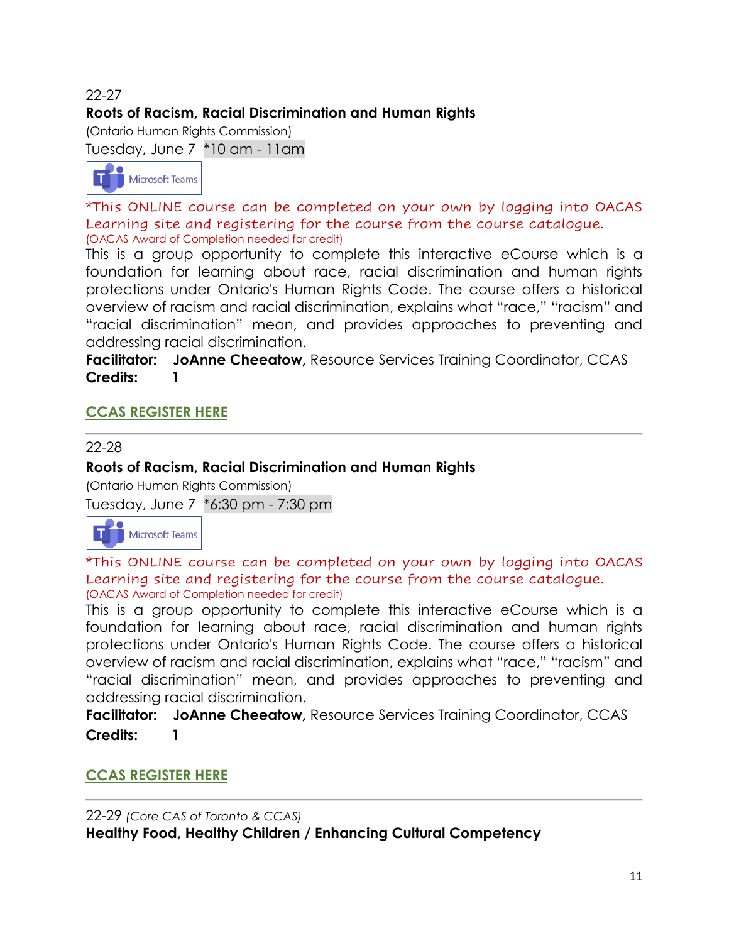# 22-27 **Roots of Racism, Racial Discrimination and Human Rights**

(Ontario Human Rights Commission)

Tuesday, June 7 \*10 am - 11am



\*This ONLINE course can be completed on your own by logging into OACAS Learning site and registering for the course from the course catalogue. (OACAS Award of Completion needed for credit)

This is a group opportunity to complete this interactive eCourse which is a foundation for learning about race, racial discrimination and human rights protections under Ontario's Human Rights Code. The course offers a historical overview of racism and racial discrimination, explains what "race," "racism" and "racial discrimination" mean, and provides approaches to preventing and addressing racial discrimination.

**Facilitator:** JoAnne Cheeatow, Resource Services Training Coordinator, CCAS **Credits: 1**

# **[CCAS REGISTER HERE](https://forms.office.com/r/WW45f7XXef)**

#### 22-28

#### **Roots of Racism, Racial Discrimination and Human Rights**

(Ontario Human Rights Commission)

Tuesday, June 7 \*6:30 pm - 7:30 pm

**Microsoft Teams** 

\*This ONLINE course can be completed on your own by logging into OACAS Learning site and registering for the course from the course catalogue. (OACAS Award of Completion needed for credit)

This is a group opportunity to complete this interactive eCourse which is a foundation for learning about race, racial discrimination and human rights protections under Ontario's Human Rights Code. The course offers a historical overview of racism and racial discrimination, explains what "race," "racism" and "racial discrimination" mean, and provides approaches to preventing and addressing racial discrimination.

**Facilitator: JoAnne Cheeatow,** Resource Services Training Coordinator, CCAS **Credits: 1**